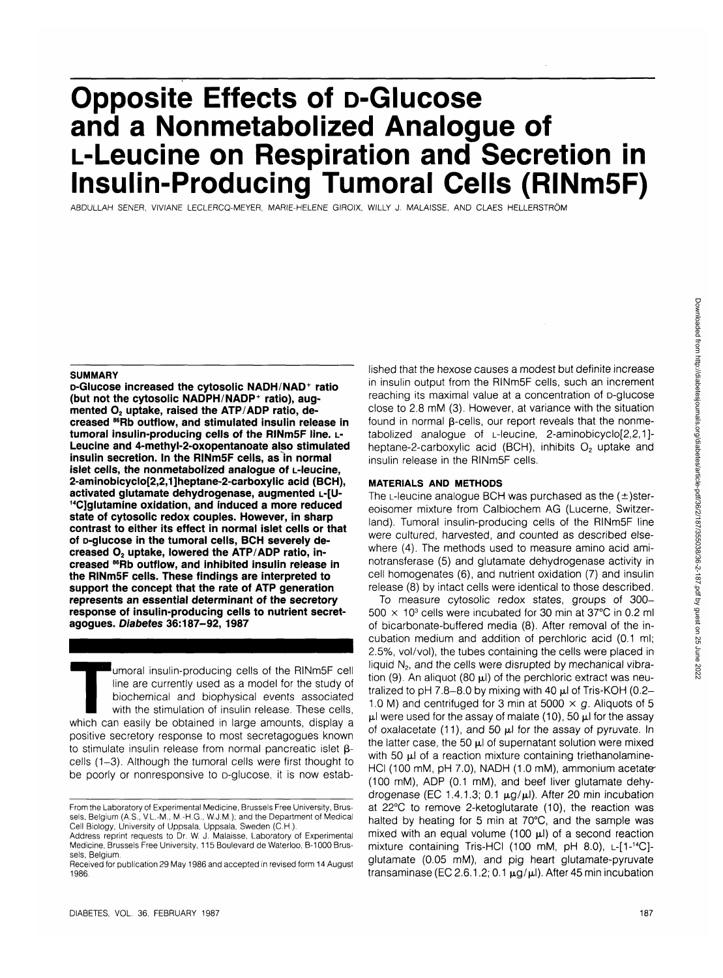# **Opposite Effects of D-Glucose and a Nonmetabolized Analogue of L-Leucine on Respiration and Secretion in Insulin-Producing Tumoral Cells (RINm5F)**

ABDULLAH SENER, VIVIANE LECLERCQ-MEYER, MARIE-HELENE GIROIX, WILLY J. MALAISSE, AND CLAES HELLERSTROM

#### **SUMMARY**

**D-Glucose increased the cytosolic NADH/NAD+ ratio (but not the cytosolic NADPH/NADP<sup>+</sup> ratio), aug**mented O<sub>2</sub> uptake, raised the ATP/ADP ratio, de**creased 86Rb outflow, and stimulated insulin release in tumoral insulin-producing cells of the RINm5F line, L-Leucine and 4-methyl-2-oxopentanoate also stimulated insulin secretion. In the RINm5F cells, as in normal islet cells, the nonmetabolized analogue of L-leucine, 2-aminobicyclo[2,2,1]heptane-2-carboxylic acid (BCH), activated glutamate dehydrogenase, augmented L-[U- 14C]glutamine oxidation, and induced a more reduced state of cytosolic redox couples. However, in sharp contrast to either its effect in normal islet cells or that of D-glucose in the tumoral cells, BCH severely de**creased O<sub>2</sub> uptake, lowered the ATP/ADP ratio, in**creased 86Rb outflow, and inhibited insulin release in the RINm5F cells. These findings are interpreted to support the concept that the rate of ATP generation represents an essential determinant of the secretory response of insulin-producing cells to nutrient secretagogues. Diabetes 36:187-92, 1987**

Tumoral insulin-producing cells of the RINm5F cell<br>line are currently used as a model for the study of<br>biochemical and biophysical events associated<br>with the stimulation of insulin release. These cells,<br>which can easily be line are currently used as a model for the study of biochemical and biophysical events associated with the stimulation of insulin release. These cells, positive secretory response to most secretagogues known to stimulate insulin release from normal pancreatic islet  $\beta$ cells (1-3). Although the tumoral cells were first thought to be poorly or nonresponsive to p-glucose, it is now established that the hexose causes a modest but definite increase in insulin output from the RINm5F cells, such an increment reaching its maximal value at a concentration of D-glucose close to 2.8 mM (3). However, at variance with the situation found in normal  $\beta$ -cells, our report reveals that the nonmetabolized analogue of L-leucine, 2-aminobicyclo[2,2,1] heptane-2-carboxylic acid (BCH), inhibits  $O<sub>2</sub>$  uptake and insulin release in the RINm5F cells.

### **MATERIALS AND METHODS**

The L-leucine analogue BCH was purchased as the  $(\pm)$ stereoisomer mixture from Calbiochem AG (Lucerne, Switzerland). Tumoral insulin-producing cells of the RINm5F line were cultured, harvested, and counted as described elsewhere (4). The methods used to measure amino acid aminotransferase (5) and glutamate dehydrogenase activity in cell homogenates (6), and nutrient oxidation (7) and insulin release (8) by intact cells were identical to those described.

To measure cytosolic redox states, groups of 300-  $500 \times 10^3$  cells were incubated for 30 min at 37°C in 0.2 ml of bicarbonate-buffered media (8). After removal of the incubation medium and addition of perchloric acid (0.1 ml; 2.5%, vol/vol), the tubes containing the cells were placed in liquid  $N<sub>2</sub>$ , and the cells were disrupted by mechanical vibration (9). An aliquot (80  $\mu$ l) of the perchloric extract was neutralized to pH 7.8-8.0 by mixing with 40  $\mu$ l of Tris-KOH (0.2-1.0 M) and centrifuged for 3 min at 5000  $\times$  g. Aliquots of 5  $\mu$ l were used for the assay of malate (10), 50  $\mu$ l for the assay of oxalacetate (11), and 50  $\mu$ l for the assay of pyruvate. In the latter case, the 50  $\mu$ l of supernatant solution were mixed with 50  $\mu$ l of a reaction mixture containing triethanolamine-HCI (100 mM, pH 7.0), NADH (1.0 mM), ammonium acetate-(100 mM), ADP (0.1 mM), and beef liver glutamate dehydrogenase (EC 1.4.1.3; 0.1  $\mu$ g/ $\mu$ l). After 20 min incubation at 22°C to remove 2-ketoglutarate (10), the reaction was halted by heating for 5 min at 70°C, and the sample was mixed with an equal volume (100  $\mu$ I) of a second reaction mixture containing Tris-HCI (100 mM, pH 8.0), L-[1-14C] glutamate (0.05 mM), and pig heart glutamate-pyruvate transaminase (EC 2.6.1.2; 0.1  $\mu$ g/ $\mu$ I). After 45 min incubation

Fromthe Laboratory of Experimental Medicine, Brussels Free University, Brussels, Belgium (A.S., V.L.-M., M.-H.G., W.J.M.); and the Department of Medical Cell Biology, University of Uppsala, Uppsala, Sweden (C.H.).

Address reprint requests to Dr. W. J. Malaisse, Laboratory of Experimental Medicine, Brussels Free University, 115 Boulevard de Waterloo, B-1000 Brussels, Belgium.

Received for publication 29 May 1986 and accepted in revised form 14 August 1986.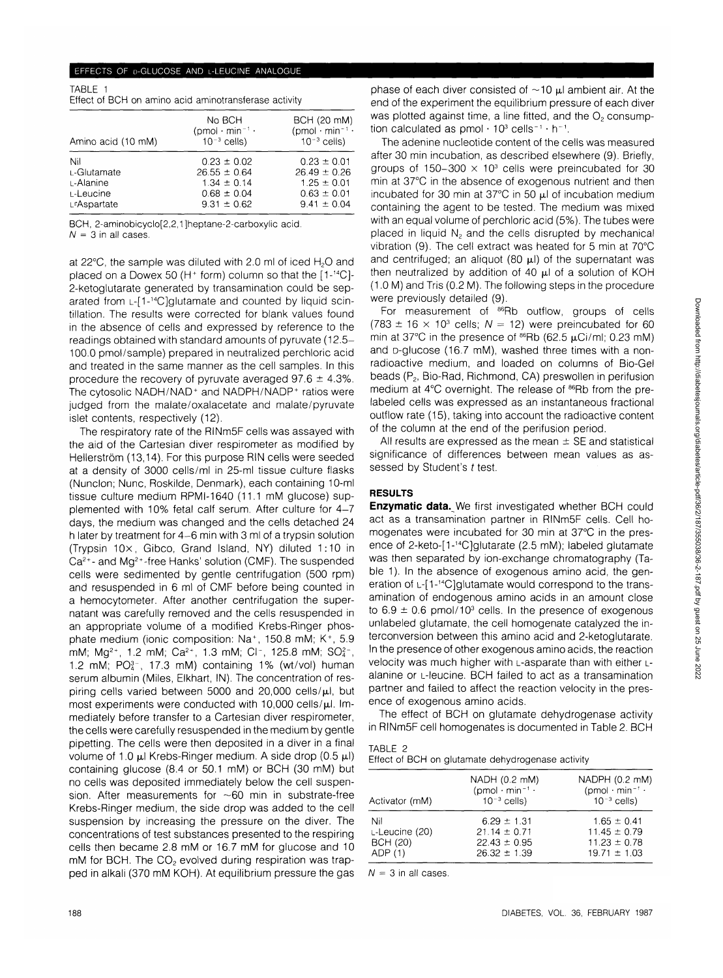# EFFECTS OF D-GLUCOSE AND L-LEUCINE ANALOGUE

| TABLE 1 |  |                                                       |  |
|---------|--|-------------------------------------------------------|--|
|         |  | Effect of BCH on amino acid aminotransferase activity |  |

|                    | No BCH<br>$(pmol \cdot min^{-1} \cdot$ | BCH (20 mM)<br>$(pmol \cdot min^{-1} \cdot$ |
|--------------------|----------------------------------------|---------------------------------------------|
| Amino acid (10 mM) | $10^{-3}$ cells)                       | $10^{-3}$ cells)                            |
| Nil                | $0.23 \pm 0.02$                        | $0.23 \pm 0.01$                             |
| L-Glutamate        | $26.55 \pm 0.64$                       | $26.49 \pm 0.26$                            |
| L-Alanine          | $1.34 \pm 0.14$                        | $1.25 \pm 0.01$                             |
| L-Leucine          | $0.68 \pm 0.04$                        | $0.63 \pm 0.01$                             |
| ∟ Aspartate        | $9.31 \pm 0.62$                        | $9.41 \pm 0.04$                             |

BCH, 2-aminobicyclo[2,2,1]heptane-2-carboxylic acid.  $N = 3$  in all cases.

at 22 $\degree$ C, the sample was diluted with 2.0 ml of iced H<sub>2</sub>O and placed on a Dowex 50 (H<sup>+</sup> form) column so that the [1-<sup>14</sup>C]-2-ketoglutarate generated by transamination could be separated from L-[1-<sup>14</sup>C]glutamate and counted by liquid scintillation. The results were corrected for blank values found in the absence of cells and expressed by reference to the readings obtained with standard amounts of pyruvate (12.5- 100.0 pmol/sample) prepared in neutralized perchloric acid and treated in the same manner as the cell samples. In this procedure the recovery of pyruvate averaged 97.6  $\pm$  4.3%. The cytosolic NADH/NAD<sup>+</sup> and NADPH/NADP<sup>+</sup> ratios were judged from the malate/oxalacetate and malate/pyruvate islet contents, respectively (12).

The respiratory rate of the RINm5F cells was assayed with the aid of the Cartesian diver respirometer as modified by Hellerström (13,14). For this purpose RIN cells were seeded at a density of 3000 cells/ml in 25-ml tissue culture flasks (Nunclon; Nunc, Roskilde, Denmark), each containing 10-ml tissue culture medium RPMI-1640 (11.1 mM glucose) supplemented with 10% fetal calf serum. After culture for 4-7 days, the medium was changed and the cells detached 24 h later by treatment for 4-6 min with 3 ml of a trypsin solution (Trypsin 10x, Gibco, Grand Island, NY) diluted 1:10 in Ca<sup>2+</sup>- and Mg<sup>2+</sup>-free Hanks' solution (CMF). The suspended cells were sedimented by gentle centrifugation (500 rpm) and resuspended in 6 ml of CMF before being counted in a hemocytometer. After another centrifugation the supernatant was carefully removed and the cells resuspended in an appropriate volume of a modified Krebs-Ringer phosphate medium (ionic composition: Na<sup>+</sup>, 150.8 mM; K<sup>+</sup>, 5.9 mM; Mg<sup>2+</sup>, 1.2 mM; Ca<sup>2+</sup>, 1.3 mM; Cl<sup>-</sup>, 125.8 mM; SO<sub>4</sub><sup>-</sup>, 1.2 mM;  $PO<sub>4</sub><sup>3</sup>$ , 17.3 mM) containing 1% (wt/vol) human serum albumin (Miles, Elkhart, IN). The concentration of respiring cells varied between 5000 and  $20,000$  cells/ $\mu$ l, but most experiments were conducted with  $10,000$  cells/ $\mu$ l. Immediately before transfer to a Cartesian diver respirometer, the cells were carefully resuspended in the medium by gentle pipetting. The cells were then deposited in a diver in a final volume of 1.0  $\mu$ l Krebs-Ringer medium. A side drop (0.5  $\mu$ l) containing glucose (8.4 or 50.1 mM) or BCH (30 mM) but no cells was deposited immediately below the cell suspension. After measurements for  $\sim$  60 min in substrate-free Krebs-Ringer medium, the side drop was added to the cell suspension by increasing the pressure on the diver. The concentrations of test substances presented to the respiring cells then became 2.8 mM or 16.7 mM for glucose and 10 mM for BCH. The  $CO<sub>2</sub>$  evolved during respiration was trapped in alkali (370 mM KOH). At equilibrium pressure the gas

phase of each diver consisted of  $\sim$ 10  $\mu$ l ambient air. At the end of the experiment the equilibrium pressure of each diver was plotted against time, a line fitted, and the  $O<sub>2</sub>$  consumption calculated as  $pmol \cdot 10^3$  cells<sup>-1</sup>  $\cdot$  h<sup>-1</sup>.

The adenine nucleotide content of the cells was measured after 30 min incubation, as described elsewhere (9). Briefly, groups of 150-300  $\times$  10<sup>3</sup> cells were preincubated for 30 min at 37°C in the absence of exogenous nutrient and then incubated for 30 min at 37°C in 50  $\mu$ l of incubation medium containing the agent to be tested. The medium was mixed with an equal volume of perchloric acid (5%). The tubes were placed in liquid  $N<sub>2</sub>$  and the cells disrupted by mechanical vibration (9). The cell extract was heated for 5 min at 70°C and centrifuged; an aliquot (80  $\mu$ l) of the supernatant was then neutralized by addition of 40  $\mu$ l of a solution of KOH (1.0 M) and Tris (0.2 M). The following steps in the procedure were previously detailed (9).

For measurement of <sup>86</sup>Rb outflow, groups of cells  $(783 \pm 16 \times 10^3 \text{ cells}; N = 12)$  were preincubated for 60 min at 37°C in the presence of  $86$ Rb (62.5  $\mu$ Ci/ml; 0.23 mM) and p-glucose (16.7 mM), washed three times with a nonradioactive medium, and loaded on columns of Bio-Gel beads ( $P_2$ , Bio-Rad, Richmond, CA) preswollen in perifusion medium at 4°C overnight. The release of <sup>86</sup>Rb from the prelabeled cells was expressed as an instantaneous fractional outflow rate (15), taking into account the radioactive content of the column at the end of the perifusion period.

All results are expressed as the mean  $\pm$  SE and statistical significance of differences between mean values as assessed by Student's t test.

# **RESULTS**

**Enzymatic data.** We first investigated whether BCH could act as a transamination partner in RINm5F cells. Cell homogenates were incubated for 30 min at 37°C in the presence of 2-keto-[1-14C]glutarate (2.5 mM); labeled glutamate was then separated by ion-exchange chromatography (Table 1). In the absence of exogenous amino acid, the generation of L-[1-14C]glutamate would correspond to the transamination of endogenous amino acids in an amount close to  $6.9 \pm 0.6$  pmol/10<sup>3</sup> cells. In the presence of exogenous unlabeled glutamate, the cell homogenate catalyzed the interconversion between this amino acid and 2-ketoglutarate. In the presence of other exogenous amino acids, the reaction velocity was much higher with L-asparate than with either Lalanine or L-leucine. BCH failed to act as a transamination partner and failed to affect the reaction velocity in the presence of exogenous amino acids.

The effect of BCH on glutamate dehydrogenase activity in RINm5F cell homogenates is documented in Table 2. BCH

TABLE 2 Effect of BCH on glutamate dehydrogenase activity

| NADH (0.2 mM)                | NADPH (0.2 mM)               |
|------------------------------|------------------------------|
| $(pmol \cdot min^{-1} \cdot$ | $(pmol \cdot min^{-1} \cdot$ |
| $10^{-3}$ cells)             | $10^{-3}$ cells)             |
|                              |                              |
| $6.29 \pm 1.31$              | $1.65 \pm 0.41$              |
| $21.14 \pm 0.71$             | $11.45 \pm 0.79$             |
| $22.43 \pm 0.95$             | $11.23 \pm 0.78$             |
| $26.32 \pm 1.39$             | $19.71 \pm 1.03$             |
|                              |                              |

 $N = 3$  in all cases.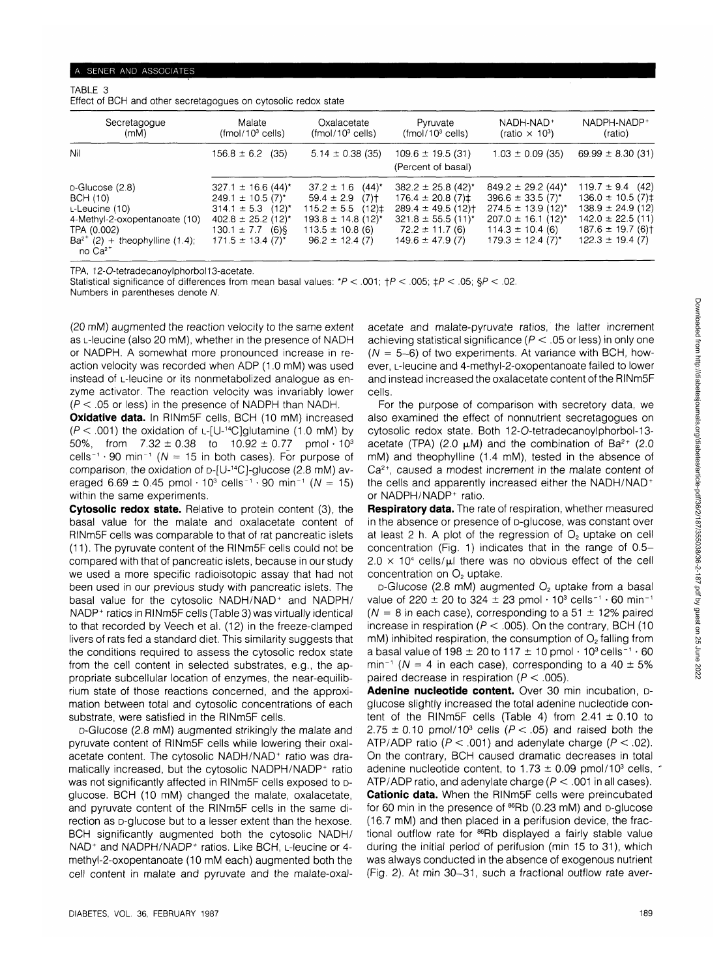## TABLE 3 Effect of BCH and other secretagogues on cytosolic redox state

| Secretagogue<br>(mM)                                                                                                                                           | Malate<br>$(fmol/103$ cells)                                                                                                                                                                        | Oxalacetate<br>$(fmol/103$ cells)                                                                                                                                                    | Pyruvate<br>$(fmol/103$ cells)                                                                                                                                          | NADH-NAD+<br>(ratio $\times$ 10 <sup>3</sup> )                                                                                                                                                         | NADPH-NADP+<br>(ratio)                                                                                                                        |
|----------------------------------------------------------------------------------------------------------------------------------------------------------------|-----------------------------------------------------------------------------------------------------------------------------------------------------------------------------------------------------|--------------------------------------------------------------------------------------------------------------------------------------------------------------------------------------|-------------------------------------------------------------------------------------------------------------------------------------------------------------------------|--------------------------------------------------------------------------------------------------------------------------------------------------------------------------------------------------------|-----------------------------------------------------------------------------------------------------------------------------------------------|
| Nil                                                                                                                                                            | $156.8 \pm 6.2$ (35)                                                                                                                                                                                | $5.14 \pm 0.38$ (35)                                                                                                                                                                 | $109.6 \pm 19.5$ (31)<br>(Percent of basal)                                                                                                                             | $1.03 \pm 0.09$ (35)                                                                                                                                                                                   | $69.99 \pm 8.30(31)$                                                                                                                          |
| $D$ -Glucose (2.8)<br>BCH (10)<br>L-Leucine (10)<br>4-Methyl-2-oxopentanoate (10)<br>TPA (0.002)<br>$Ba^{2+}$ (2) + theophylline (1.4);<br>no Ca <sup>2+</sup> | 327.1 $\pm$ 16.6 (44) <sup>*</sup><br>$249.1 \pm 10.5$ (7) <sup>*</sup><br>$314.1 \pm 5.3$ (12) <sup>*</sup><br>$402.8 \pm 25.2$ (12) <sup>*</sup><br>$130.1 \pm 7.7$ (6)§<br>$171.5 \pm 13.4$ (7)* | $(44)^*$<br>$37.2 \pm 1.6$<br>$59.4 \pm 2.9$<br>$(7)$ <sup>+</sup><br>$115.2 \pm 5.5$ (12) $\pm$<br>$193.8 \pm 14.8$ (12) <sup>*</sup><br>$113.5 \pm 10.8$ (6)<br>$96.2 \pm 12.4(7)$ | $382.2 \pm 25.8$ (42) <sup>*</sup><br>$176.4 \pm 20.8(7)$ ‡<br>$289.4 \pm 49.5(12)$<br>$321.8 \pm 55.5$ (11) <sup>*</sup><br>$72.2 \pm 11.7(6)$<br>$149.6 \pm 47.9$ (7) | $849.2 \pm 29.2$ (44) <sup>*</sup><br>$396.6 \pm 33.5(7)^{*}$<br>$274.5 \pm 13.9$ (12) <sup>*</sup><br>$207.0 \pm 16.1$ (12) <sup>*</sup><br>$114.3 \pm 10.4$ (6)<br>$179.3 \pm 12.4$ (7) <sup>*</sup> | $119.7 \pm 9.4$ (42)<br>$136.0 \pm 10.5(7)\pm$<br>$138.9 \pm 24.9$ (12)<br>$142.0 \pm 22.5(11)$<br>$187.6 \pm 19.7(6)$<br>$122.3 \pm 19.4(7)$ |

TPA, 12-O-tetradecanoylphorbol13-acetate.

Statistical significance of differences from mean basal values: \*P < .001; *<* .005; *\$P* < .05; §P < .02. Numbers in parentheses denote N.

(20 mM) augmented the reaction velocity to the same extent as L-leucine (also 20 mM), whether in the presence of NADH or NADPH. A somewhat more pronounced increase in reaction velocity was recorded when ADP (1.0 mM) was used instead of L-leucine or its nonmetabolized analogue as enzyme activator. The reaction velocity was invariably lower  $(P < .05$  or less) in the presence of NADPH than NADH.

**Oxidative data.** In RINm5F cells, BCH (10 mM) increased  $(P < .001)$  the oxidation of L-[U-<sup>14</sup>C]glutamine (1.0 mM) by 50%, from  $7.32 \pm 0.38$  to  $10.92 \pm 0.77$  pmol  $\cdot 10^{3}$ cells<sup>-1</sup> · 90 min<sup>-1</sup> (N = 15 in both cases). For purpose of comparison, the oxidation of D-[U-14C]-glucose (2.8 mM) averaged 6.69  $\pm$  0.45 pmol  $\cdot$  10<sup>3</sup> cells<sup>-1</sup> · 90 min<sup>-1</sup> (N = 15) within the same experiments.

**Cytosolic redox state.** Relative to protein content (3), the basal value for the malate and oxalacetate content of RINm5F cells was comparable to that of rat pancreatic islets (11). The pyruvate content of the RINm5F cells could not be compared with that of pancreatic islets, because in our study we used a more specific radioisotopic assay that had not been used in our previous study with pancreatic islets. The basal value for the cytosolic NADH/NAD<sup>+</sup> and NADPH/ NADP+ ratios in RINm5F cells (Table 3) was virtually identical to that recorded by Veech et al. (12) in the freeze-clamped livers of rats fed a standard diet. This similarity suggests that the conditions required to assess the cytosolic redox state from the cell content in selected substrates, e.g., the appropriate subcellular location of enzymes, the near-equilibrium state of those reactions concerned, and the approximation between total and cytosolic concentrations of each substrate, were satisfied in the RINm5F cells.

D-Glucose (2.8 mM) augmented strikingly the malate and pyruvate content of RINm5F cells while lowering their oxalacetate content. The cytosolic NADH/NAD<sup>+</sup> ratio was dramatically increased, but the cytosolic NADPH/NADP<sup>+</sup> ratio was not significantly affected in RINm5F cells exposed to Dglucose. BCH (10 mM) changed the malate, oxalacetate, and pyruvate content of the RINm5F cells in the same direction as D-glucose but to a lesser extent than the hexose. BCH significantly augmented both the cytosolic NADH/ NAD<sup>+</sup> and NADPH/NADP<sup>+</sup> ratios. Like BCH, L-leucine or 4methyl-2-oxopentanoate (10 mM each) augmented both the cell content in malate and pyruvate and the malate-oxal-

acetate and malate-pyruvate ratios, the latter increment achieving statistical significance ( $P < .05$  or less) in only one  $(N = 5-6)$  of two experiments. At variance with BCH, however, L-leucine and 4-methyl-2-oxopentanoate failed to lower and instead increased the oxalacetate content of the RINm5F cells.

For the purpose of comparison with secretory data, we also examined the effect of nonnutrient secretagogues on cytosolic redox state. Both 12-O-tetradecanoylphorbol-13 acetate (TPA) (2.0  $\mu$ M) and the combination of Ba<sup>2+</sup> (2.0 mM) and theophylline (1.4 mM), tested in the absence of Ca<sup>2+</sup>, caused a modest increment in the malate content of the cells and apparently increased either the NADH/NAD<sup>+</sup> or NADPH/NADP<sup>+</sup> ratio.

**Respiratory data.** The rate of respiration, whether measured in the absence or presence of D-glucose, was constant over at least 2 h. A plot of the regression of  $O<sub>2</sub>$  uptake on cell concentration (Fig. 1) indicates that in the range of 0.5-  $2.0 \times 10^4$  cells/ $\mu$ I there was no obvious effect of the cell concentration on  $O<sub>2</sub>$  uptake.

 $D$ -Glucose (2.8 mM) augmented  $O<sub>2</sub>$  uptake from a basal value of 220  $\pm$  20 to 324  $\pm$  23 pmol  $\cdot$  10<sup>3</sup> cells<sup>-1</sup>  $\cdot$  60 min<sup>-1</sup> ( $N = 8$  in each case), corresponding to a 51  $\pm$  12% paired increase in respiration ( $P < .005$ ). On the contrary, BCH (10 mM) inhibited respiration, the consumption of  $O<sub>2</sub>$  falling from a basal value of  $198 \pm 20$  to  $117 \pm 10$  pmol  $\cdot 10^3$  cells<sup>-1</sup>  $\cdot 60$ min<sup>-1</sup> ( $N = 4$  in each case), corresponding to a 40  $\pm$  5% paired decrease in respiration ( $P < .005$ ).

**Adenine nucleotide content.** Over 30 min incubation, Dglucose slightly increased the total adenine nucleotide content of the RINm5F cells (Table 4) from  $2.41 \pm 0.10$  to  $2.75 \pm 0.10$  pmol/10<sup>3</sup> cells ( $P < .05$ ) and raised both the ATP/ADP ratio ( $P < .001$ ) and adenylate charge ( $P < .02$ ). On the contrary, BCH caused dramatic decreases in total adenine nucleotide content, to  $1.73 \pm 0.09$  pmol/10<sup>3</sup> cells, ATP/ADP ratio, and adenylate charge ( $P < .001$  in all cases). **Cationic data.** When the RINm5F cells were preincubated for 60 min in the presence of <sup>86</sup>Rb (0.23 mM) and D-glucose (16.7 mM) and then placed in a perifusion device, the fractional outflow rate for <sup>86</sup>Rb displayed a fairly stable value during the initial period of perifusion (min 15 to 31), which was always conducted in the absence of exogenous nutrient (Fig. 2). At min 30-31, such a fractional outflow rate aver-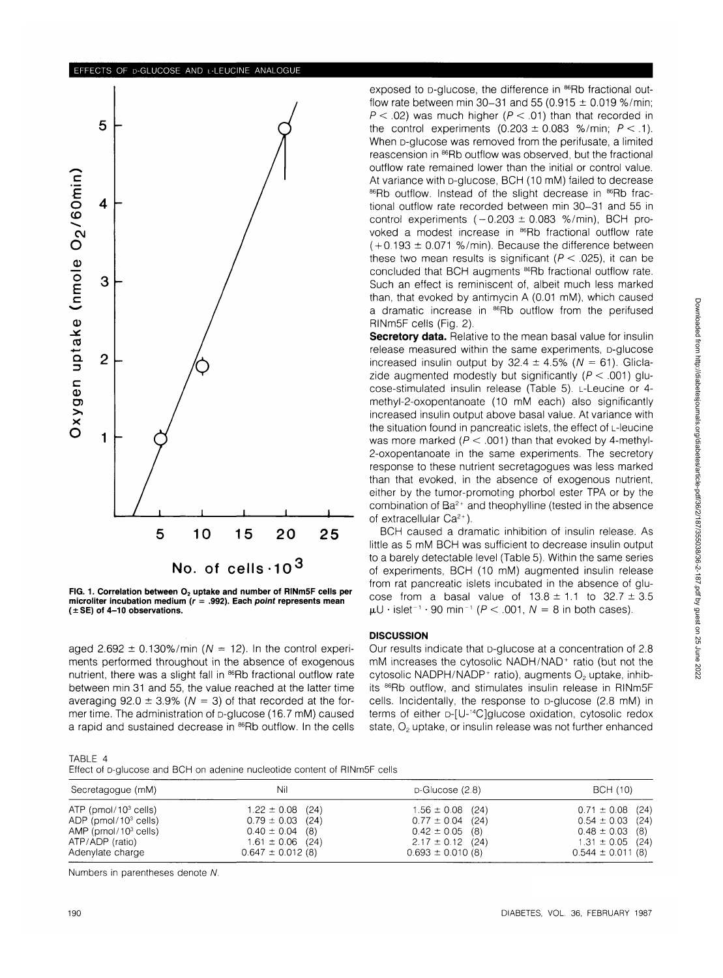



aged 2.692  $\pm$  0.130%/min (N = 12). In the control experiments performed throughout in the absence of exogenous nutrient, there was a slight fall in <sup>86</sup>Rb fractional outflow rate between min 31 and 55, the value reached at the latter time averaging 92.0  $\pm$  3.9% (N = 3) of that recorded at the former time. The administration of p-glucose (16.7 mM) caused a rapid and sustained decrease in <sup>86</sup>Rb outflow. In the cells exposed to p-glucose, the difference in <sup>86</sup>Rb fractional outflow rate between min 30-31 and 55 (0.915  $\pm$  0.019 %/min;  $P < .02$ ) was much higher ( $P < .01$ ) than that recorded in the control experiments  $(0.203 \pm 0.083$  %/min;  $P < 1$ ). When **D-glucose** was removed from the perifusate, a limited reascension in 86Rb outflow was observed, but the fractional outflow rate remained lower than the initial or control value. At variance with p-glucose, BCH (10 mM) failed to decrease 86Rb outflow. Instead of the slight decrease in 86Rb fractional outflow rate recorded between min 30-31 and 55 in control experiments  $(-0.203 \pm 0.083 \%)$ /min), BCH provoked a modest increase in 86Rb fractional outflow rate  $(+0.193 \pm 0.071$  %/min). Because the difference between these two mean results is significant ( $P < .025$ ), it can be concluded that BCH augments <sup>86</sup>Rb fractional outflow rate. Such an effect is reminiscent of, albeit much less marked than, that evoked by antimycin A (0.01 mM), which caused a dramatic increase in <sup>86</sup>Rb outflow from the perifused RINm5F cells (Fig. 2).

**Secretory data.** Relative to the mean basal value for insulin release measured within the same experiments, D-glucose increased insulin output by  $32.4 \pm 4.5\%$  ( $N = 61$ ). Gliclazide augmented modestly but significantly ( $P < .001$ ) glucose-stimulated insulin release (Table 5). L-Leucine or 4 methyl-2-oxopentanoate (10 mM each) also significantly increased insulin output above basal value. At variance with the situation found in pancreatic islets, the effect of L-leucine was more marked ( $P < .001$ ) than that evoked by 4-methyl-2-oxopentanoate in the same experiments. The secretory response to these nutrient secretagogues was less marked than that evoked, in the absence of exogenous nutrient, either by the tumor-promoting phorbol ester TPA or by the combination of Ba<sup>2+</sup> and theophylline (tested in the absence of extracellular Ca<sup>2+</sup>).

BCH caused a dramatic inhibition of insulin release. As little as 5 mM BCH was sufficient to decrease insulin output to a barely detectable level (Table 5). Within the same series of experiments, BCH (10 mM) augmented insulin release from rat pancreatic islets incubated in the absence of glucose from a basal value of  $13.8 \pm 1.1$  to  $32.7 \pm 3.5$  $\mu$ U · islet<sup>-1</sup> · 90 min<sup>-1</sup> ( $P < .001$ ,  $N = 8$  in both cases).

## **DISCUSSION**

Our results indicate that D-glucose at a concentration of 2.8 mM increases the cytosolic NADH/NAD<sup>+</sup> ratio (but not the cytosolic NADPH/NADP<sup>+</sup> ratio), augments  $O<sub>2</sub>$  uptake, inhibits 86Rb outflow, and stimulates insulin release in RINm5F cells. Incidentally, the response to D-glucose (2.8 mM) in terms of either D-[U-14C]glucose oxidation, cytosolic redox state,  $O<sub>2</sub>$  uptake, or insulin release was not further enhanced

| ۰. |  |  |  |
|----|--|--|--|
|----|--|--|--|

Effect of D-glucose and BCH on adenine nucleotide content of RINm5F cells

| Secretagogue (mM)         | Nil                   | $D$ -Glucose (2.8)   | BCH (10)              |
|---------------------------|-----------------------|----------------------|-----------------------|
| $ATP$ (pmol/10 $3$ cells) | $1.22 \pm 0.08$ (24)  | $1.56 \pm 0.08$ (24) | $0.71 \pm 0.08$ (24)  |
| ADP ( $pmol/103$ cells)   | $0.79 \pm 0.03$ (24)  | $0.77 \pm 0.04$ (24) | $0.54 \pm 0.03$ (24)  |
| AMP ( $pmol/103$ cells)   | $0.40 \pm 0.04$ (8)   | $0.42 \pm 0.05$ (8)  | $0.48 \pm 0.03$ (8)   |
| ATP/ADP (ratio)           | $1.61 \pm 0.06$ (24)  | $2.17 \pm 0.12$ (24) | $1.31 \pm 0.05$ (24)  |
| Adenylate charge          | $0.647 \pm 0.012$ (8) | $0.693 \pm 0.010(8)$ | $0.544 \pm 0.011$ (8) |

Numbers in parentheses denote N.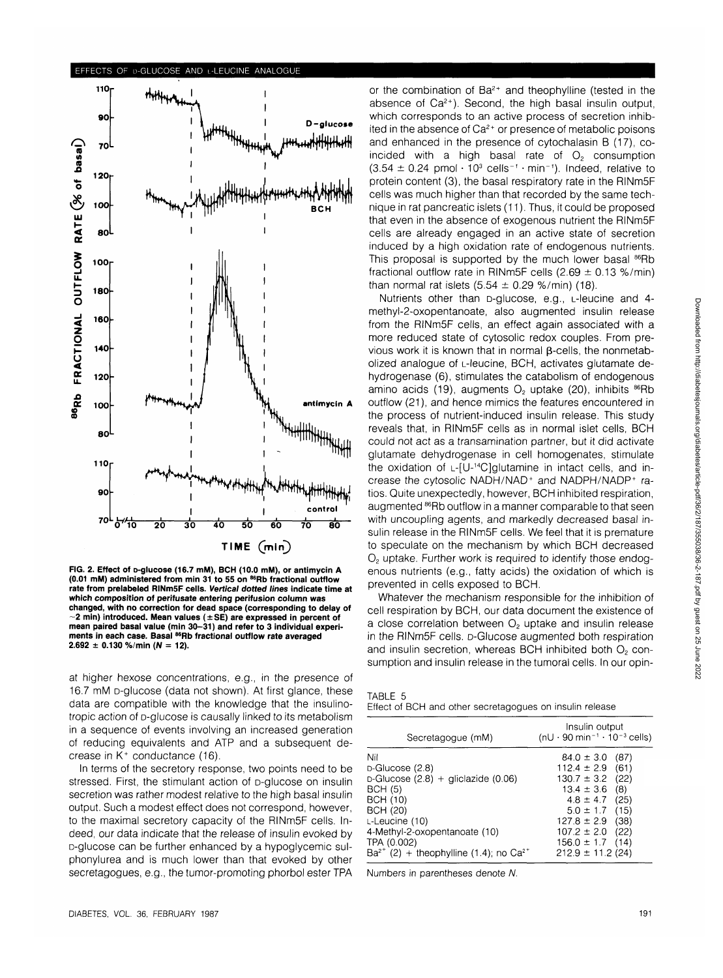#### **EFFECTS OF D-GLUCOSE AND L-LEUCINE ANALOGUE**



**FIG. 2. Effect of o-glucose (16.7 mM), BCH (10.0 mM), or antimycin A (0.01 mM) administered from min 31 to 55 on 86Rb fractional outflow rate from prelabeled RINmSF cells. Vertical clotted lines indicate time at which composition of perifusate entering perifusion column was changed, with no correction for dead space (corresponding to delay of 2 min) introduced. Mean values (±SE) are expressed in percent of mean paired basal value (min 30-31) and refer to 3 individual experiments in each case. Basal 86Rb fractional outflow rate averaged**  $2.692 \pm 0.130$  %/min ( $N = 12$ ).

at higher hexose concentrations, e.g., in the presence of 16.7 mM D-glucose (data not shown). At first glance, these data are compatible with the knowledge that the insulinotropic action of D-glucose is causally linked to its metabolism in a sequence of events involving an increased generation of reducing equivalents and ATP and a subsequent decrease in  $\breve{\mathsf{K}}^+$  conductance (16).

In terms of the secretory response, two points need to be stressed. First, the stimulant action of p-glucose on insulin secretion was rather modest relative to the high basal insulin output. Such a modest effect does not correspond, however, to the maximal secretory capacity of the RINm5F cells. Indeed, our data indicate that the release of insulin evoked by D-glucose can be further enhanced by a hypoglycemic sulphonylurea and is much lower than that evoked by other secretagogues, e.g., the tumor-promoting phorbol ester TPA

or the combination of Ba<sup>2+</sup> and theophylline (tested in the absence of  $Ca^{2+}$ ). Second, the high basal insulin output, which corresponds to an active process of secretion inhibited in the absence of Ca<sup>2+</sup> or presence of metabolic poisons and enhanced in the presence of cytochalasin B (17), coincided with a high basal rate of  $O<sub>2</sub>$  consumption  $(3.54 \pm 0.24 \text{ pmol} \cdot 10^3 \text{ cells}^{-1} \cdot \text{min}^{-1})$ . Indeed, relative to protein content (3), the basal respiratory rate in the RINm5F cells was much higher than that recorded by the same technique in rat pancreatic islets (11). Thus, it could be proposed that even in the absence of exogenous nutrient the RINm5F cells are already engaged in an active state of secretion induced by a high oxidation rate of endogenous nutrients. This proposal is supported by the much lower basal <sup>86</sup>Rb fractional outflow rate in RINm5F cells  $(2.69 \pm 0.13 \%)$ min) than normal rat islets  $(5.54 \pm 0.29 \frac{\omega}{\text{m}})$  (18).

Nutrients other than D-glucose, e.g., L-leucine and 4 methyl-2-oxopentanoate, also augmented insulin release from the RINm5F cells, an effect again associated with a more reduced state of cytosolic redox couples. From previous work it is known that in normal  $\beta$ -cells, the nonmetabolized analogue of L-leucine, BCH, activates glutamate dehydrogenase (6), stimulates the catabolism of endogenous amino acids (19), augments  $O<sub>2</sub>$  uptake (20), inhibits  $^{86}$ Rb outflow (21), and hence mimics the features encountered in the process of nutrient-induced insulin release. This study reveals that, in RINm5F cells as in normal islet cells, BCH could not act as a transamination partner, but it did activate glutamate dehydrogenase in cell homogenates, stimulate the oxidation of L-[U-14C]glutamine in intact cells, and increase the cytosolic NADH/NAD<sup>+</sup> and NADPH/NADP<sup>+</sup> ratios. Quite unexpectedly, however, BCH inhibited respiration, augmented <sup>86</sup>Rb outflow in a manner comparable to that seen with uncoupling agents, and markedly decreased basal insulin release in the RINm5F cells. We feel that it is premature to speculate on the mechanism by which BCH decreased  $O<sub>2</sub>$  uptake. Further work is required to identify those endogenous nutrients (e.g., fatty acids) the oxidation of which is prevented in cells exposed to BCH.

Whatever the mechanism responsible for the inhibition of cell respiration by BCH, our data document the existence of a close correlation between  $O<sub>2</sub>$  uptake and insulin release in the RINm5F cells. D-Glucose augmented both respiration and insulin secretion, whereas BCH inhibited both  $O<sub>2</sub>$  consumption and insulin release in the tumoral cells. In our opin-

| TABLE 5                                                  |
|----------------------------------------------------------|
| Effect of BCH and other secretagogues on insulin release |

| Secretagogue (mM)                                       | Insulin output<br>$(nU \cdot 90 \text{ min}^{-1} \cdot 10^{-3} \text{ cells})$ |
|---------------------------------------------------------|--------------------------------------------------------------------------------|
| Nil                                                     | $84.0 \pm 3.0$<br>(87)                                                         |
| $D-Glu\csc(2.8)$                                        | $112.4 \pm 2.9$<br>(61)                                                        |
| $D-Glu\csc(2.8) + qliclazide(0.06)$                     | $130.7 \pm 3.2$<br>(22)                                                        |
| <b>BCH (5)</b>                                          | (8)<br>$13.4 \pm 3.6$                                                          |
| <b>BCH (10)</b>                                         | $4.8 \pm 4.7$<br>(25)                                                          |
| <b>BCH (20)</b>                                         | $5.0 \pm 1.7$<br>(15)                                                          |
| L-Leucine (10)                                          | $127.8 \pm 2.9$<br>(38)                                                        |
| 4-Methyl-2-oxopentanoate (10)                           | $107.2 \pm 2.0$<br>(22)                                                        |
| TPA (0.002)                                             | $156.0 \pm 1.7$<br>(14)                                                        |
| $Ba^{2+}$ (2) + theophylline (1.4); no Ca <sup>2+</sup> | $212.9 \pm 11.2$ (24)                                                          |

Numbers in parentheses denote N.